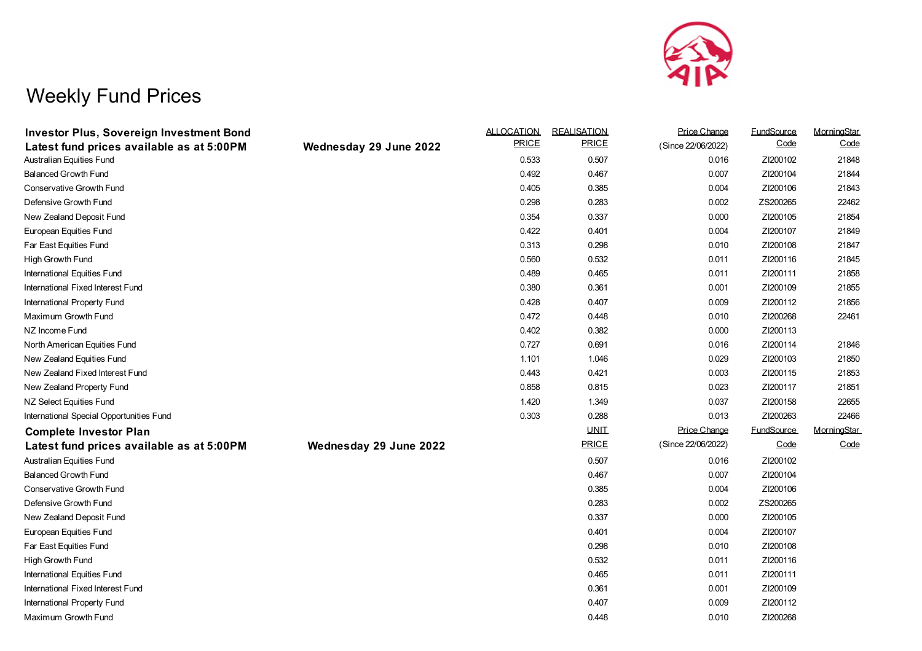

## Weekly Fund Prices

| <b>Investor Plus, Sovereign Investment Bond</b> |                        | <b>ALLOCATION</b> | <b>REALISATION</b> | Price Change       | <b>FundSource</b> | MorningStar |
|-------------------------------------------------|------------------------|-------------------|--------------------|--------------------|-------------------|-------------|
| Latest fund prices available as at 5:00PM       | Wednesday 29 June 2022 | <b>PRICE</b>      | <b>PRICE</b>       | (Since 22/06/2022) | Code              | Code        |
| Australian Equities Fund                        |                        | 0.533             | 0.507              | 0.016              | ZI200102          | 21848       |
| <b>Balanced Growth Fund</b>                     |                        | 0.492             | 0.467              | 0.007              | ZI200104          | 21844       |
| Conservative Growth Fund                        |                        | 0.405             | 0.385              | 0.004              | ZI200106          | 21843       |
| Defensive Growth Fund                           |                        | 0.298             | 0.283              | 0.002              | ZS200265          | 22462       |
| New Zealand Deposit Fund                        |                        | 0.354             | 0.337              | 0.000              | ZI200105          | 21854       |
| European Equities Fund                          |                        | 0.422             | 0.401              | 0.004              | ZI200107          | 21849       |
| Far East Equities Fund                          |                        | 0.313             | 0.298              | 0.010              | ZI200108          | 21847       |
| High Growth Fund                                |                        | 0.560             | 0.532              | 0.011              | ZI200116          | 21845       |
| International Equities Fund                     |                        | 0.489             | 0.465              | 0.011              | ZI200111          | 21858       |
| International Fixed Interest Fund               |                        | 0.380             | 0.361              | 0.001              | ZI200109          | 21855       |
| International Property Fund                     |                        | 0.428             | 0.407              | 0.009              | ZI200112          | 21856       |
| Maximum Growth Fund                             |                        | 0.472             | 0.448              | 0.010              | ZI200268          | 22461       |
| NZ Income Fund                                  |                        | 0.402             | 0.382              | 0.000              | ZI200113          |             |
| North American Equities Fund                    |                        | 0.727             | 0.691              | 0.016              | ZI200114          | 21846       |
| New Zealand Equities Fund                       |                        | 1.101             | 1.046              | 0.029              | ZI200103          | 21850       |
| New Zealand Fixed Interest Fund                 |                        | 0.443             | 0.421              | 0.003              | ZI200115          | 21853       |
| New Zealand Property Fund                       |                        | 0.858             | 0.815              | 0.023              | ZI200117          | 21851       |
| NZ Select Equities Fund                         |                        | 1.420             | 1.349              | 0.037              | ZI200158          | 22655       |
| International Special Opportunities Fund        |                        | 0.303             | 0.288              | 0.013              | ZI200263          | 22466       |
| <b>Complete Investor Plan</b>                   |                        |                   | <b>UNIT</b>        | Price Change       | <b>FundSource</b> | MorningStar |
| Latest fund prices available as at 5:00PM       | Wednesday 29 June 2022 |                   | <b>PRICE</b>       | (Since 22/06/2022) | Code              | Code        |
| Australian Equities Fund                        |                        |                   | 0.507              | 0.016              | ZI200102          |             |
| <b>Balanced Growth Fund</b>                     |                        |                   | 0.467              | 0.007              | ZI200104          |             |
| <b>Conservative Growth Fund</b>                 |                        |                   | 0.385              | 0.004              | ZI200106          |             |
| Defensive Growth Fund                           |                        |                   | 0.283              | 0.002              | ZS200265          |             |
| New Zealand Deposit Fund                        |                        |                   | 0.337              | 0.000              | ZI200105          |             |
| European Equities Fund                          |                        |                   | 0.401              | 0.004              | ZI200107          |             |
| Far East Equities Fund                          |                        |                   | 0.298              | 0.010              | ZI200108          |             |
| High Growth Fund                                |                        |                   | 0.532              | 0.011              | ZI200116          |             |
| International Equities Fund                     |                        |                   | 0.465              | 0.011              | ZI200111          |             |
| International Fixed Interest Fund               |                        |                   | 0.361              | 0.001              | ZI200109          |             |
| International Property Fund                     |                        |                   | 0.407              | 0.009              | ZI200112          |             |
| Maximum Growth Fund                             |                        |                   | 0.448              | 0.010              | ZI200268          |             |
|                                                 |                        |                   |                    |                    |                   |             |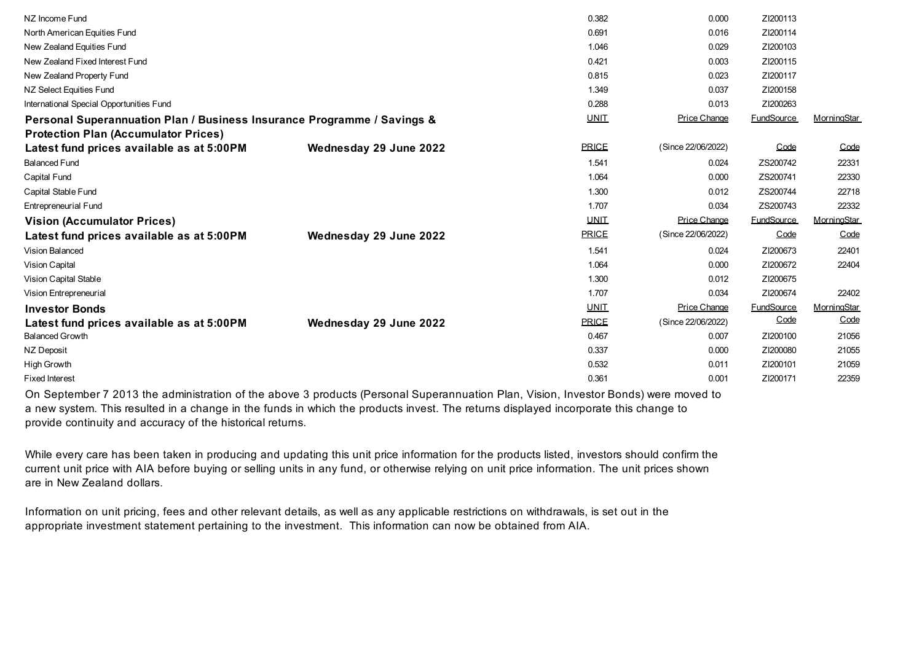| NZ Income Fund                                                          |                        | 0.382        | 0.000               | ZI200113          |             |
|-------------------------------------------------------------------------|------------------------|--------------|---------------------|-------------------|-------------|
| North American Equities Fund                                            |                        | 0.691        | 0.016               | ZI200114          |             |
| New Zealand Equities Fund                                               |                        | 1.046        | 0.029               | ZI200103          |             |
| New Zealand Fixed Interest Fund                                         |                        | 0.421        | 0.003               | ZI200115          |             |
| New Zealand Property Fund                                               |                        | 0.815        | 0.023               | ZI200117          |             |
| NZ Select Equities Fund                                                 |                        | 1.349        | 0.037               | ZI200158          |             |
| International Special Opportunities Fund                                |                        | 0.288        | 0.013               | ZI200263          |             |
| Personal Superannuation Plan / Business Insurance Programme / Savings & |                        | <b>UNIT</b>  | <b>Price Change</b> | <b>FundSource</b> | MorningStar |
| <b>Protection Plan (Accumulator Prices)</b>                             |                        |              |                     |                   |             |
| Latest fund prices available as at 5:00PM                               | Wednesday 29 June 2022 | <b>PRICE</b> | (Since 22/06/2022)  | Code              | Code        |
| <b>Balanced Fund</b>                                                    |                        | 1.541        | 0.024               | ZS200742          | 22331       |
| <b>Capital Fund</b>                                                     |                        | 1.064        | 0.000               | ZS200741          | 22330       |
| Capital Stable Fund                                                     |                        | 1.300        | 0.012               | ZS200744          | 22718       |
| <b>Entrepreneurial Fund</b>                                             |                        | 1.707        | 0.034               | ZS200743          | 22332       |
| <b>Vision (Accumulator Prices)</b>                                      |                        | <b>UNIT</b>  | Price Change        | <b>FundSource</b> | MorningStar |
| Latest fund prices available as at 5:00PM                               | Wednesday 29 June 2022 | <b>PRICE</b> | (Since 22/06/2022)  | Code              | Code        |
| <b>Vision Balanced</b>                                                  |                        | 1.541        | 0.024               | ZI200673          | 22401       |
| <b>Vision Capital</b>                                                   |                        | 1.064        | 0.000               | ZI200672          | 22404       |
| Vision Capital Stable                                                   |                        | 1.300        | 0.012               | ZI200675          |             |
| Vision Entrepreneurial                                                  |                        | 1.707        | 0.034               | ZI200674          | 22402       |
| <b>Investor Bonds</b>                                                   |                        | <b>UNIT</b>  | Price Change        | <b>FundSource</b> | MorningStar |
| Latest fund prices available as at 5:00PM                               | Wednesday 29 June 2022 | <b>PRICE</b> | (Since 22/06/2022)  | Code              | Code        |
| <b>Balanced Growth</b>                                                  |                        | 0.467        | 0.007               | ZI200100          | 21056       |
| NZ Deposit                                                              |                        | 0.337        | 0.000               | ZI200080          | 21055       |
| <b>High Growth</b>                                                      |                        | 0.532        | 0.011               | ZI200101          | 21059       |
| <b>Fixed Interest</b>                                                   |                        | 0.361        | 0.001               | ZI200171          | 22359       |
|                                                                         |                        |              |                     |                   |             |

On September 7 2013 the administration of the above 3 products (Personal Superannuation Plan, Vision, Investor Bonds) were moved to a new system. This resulted in a change in the funds in which the products invest. The returns displayed incorporate this change to provide continuity and accuracy of the historical returns.

While every care has been taken in producing and updating this unit price information for the products listed, investors should confirm the current unit price with AIA before buying or selling units in any fund, or otherwise relying on unit price information. The unit prices shown are in New Zealand dollars.

Information on unit pricing, fees and other relevant details, as well as any applicable restrictions on withdrawals, is set out in the appropriate investment statement pertaining to the investment. This information can now be obtained from AIA.